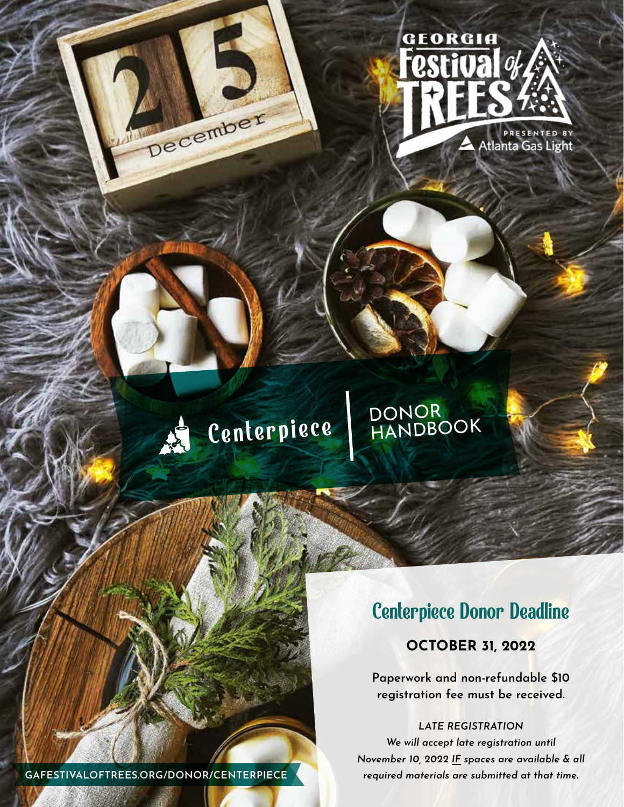

# Centerpiece DONOR<br>HANDBOOK

# Centerpiece Donor Deadline

### **OCTOBER 31, 2022**

**Paperwork and non-refundable \$10 registration fee must be received.**

*LATE REGISTRATION We will accept late registration until November 10, 2022 IF spaces are available & all* 

**GAFESTIVALOFTREES.ORG/DONOR/CENTERPIECE** *required materials are submitted at that time.*

December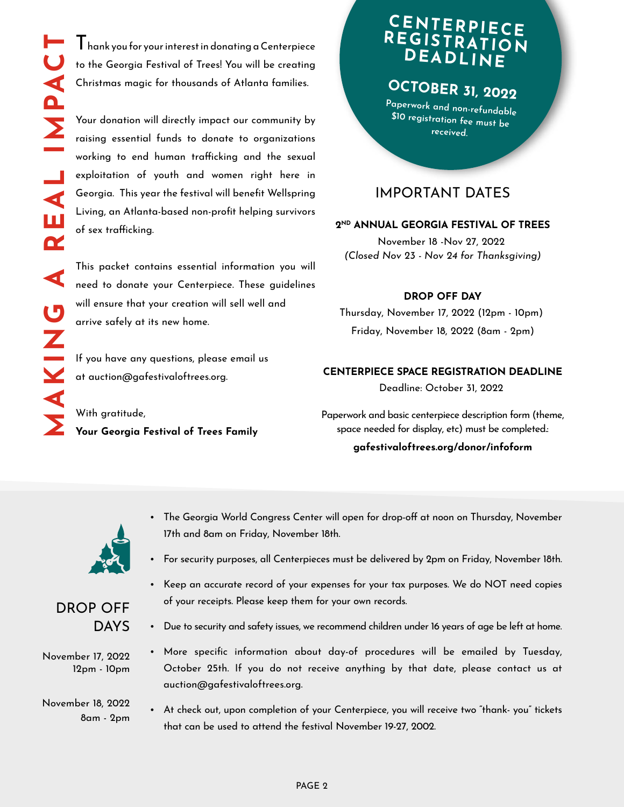$\mathsf I$  hank you for your interest in donating a Centerpiece to the Georgia Festival of Trees! You will be creating Christmas magic for thousands of Atlanta families.

Your donation will directly impact our community by raising essential funds to donate to organizations working to end human trafficking and the sexual exploitation of youth and women right here in Georgia. This year the festival will benefit Wellspring Living, an Atlanta-based non-profit helping survivors of sex trafficking.

This packet contains essential information you will need to donate your Centerpiece. These guidelines will ensure that your creation will sell well and arrive safely at its new home.

If you have any questions, please email us at auction@gafestivaloftrees.org.

With gratitude, **Your Georgia Festival of Trees Family**

# **CENTERPIECE REGISTRATION DEADLINE**

# **OCTOBER 31, 2022**

**Paperwork and non-refundable \$10 registration fee must be received.**

### IMPORTANT DATES

#### **2ND ANNUAL GEORGIA FESTIVAL OF TREES**

November 18 -Nov 27, 2022 *(Closed Nov 23 - Nov 24 for Thanksgiving)*

#### **DROP OFF DAY**

Thursday, November 17, 2022 (12pm - 10pm) Friday, November 18, 2022 (8am - 2pm)

#### **CENTERPIECE SPACE REGISTRATION DEADLINE**

Deadline: October 31, 2022

Paperwork and basic centerpiece description form (theme, space needed for display, etc) must be completed.: **gafestivaloftrees.org/donor/infoform**



- The Georgia World Congress Center will open for drop-off at noon on Thursday, November 17th and 8am on Friday, November 18th.
- For security purposes, all Centerpieces must be delivered by 2pm on Friday, November 18th.



- Due to security and safety issues, we recommend children under 16 years of age be left at home.
- More specific information about day-of procedures will be emailed by Tuesday, October 25th. If you do not receive anything by that date, please contact us at auction@gafestivaloftrees.org.
- At check out, upon completion of your Centerpiece, you will receive two "thank- you" tickets that can be used to attend the festival November 19-27, 2002.

DROP OFF DAYS

November 17, 2022 12pm - 10pm

November 18, 2022 8am - 2pm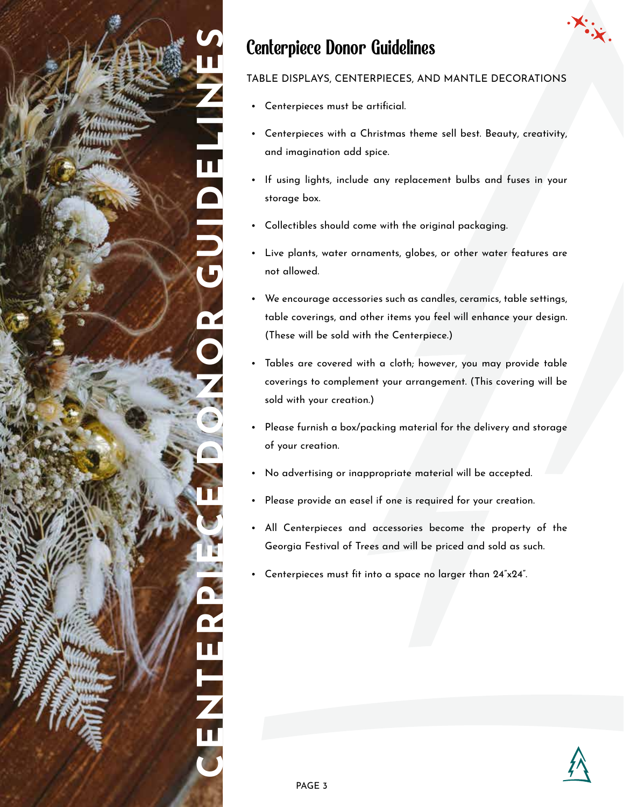

# Centerpiece Donor Guidelines

### TABLE DISPLAYS, CENTERPIECES, AND MANTLE DECORATIONS

- Centerpieces must be artificial.
- Centerpieces with a Christmas theme sell best. Beauty, creativity, and imagination add spice.
- If using lights, include any replacement bulbs and fuses in your storage box.
- Collectibles should come with the original packaging.
- Live plants, water ornaments, globes, or other water features are not allowed.
- We encourage accessories such as candles, ceramics, table settings, table coverings, and other items you feel will enhance your design. (These will be sold with the Centerpiece.)
- Tables are covered with a cloth; however, you may provide table coverings to complement your arrangement. (This covering will be sold with your creation.)
- Please furnish a box/packing material for the delivery and storage of your creation.
- No advertising or inappropriate material will be accepted.
- Please provide an easel if one is required for your creation.
- All Centerpieces and accessories become the property of the Georgia Festival of Trees and will be priced and sold as such.
- Centerpieces must fit into a space no larger than 24"x24".

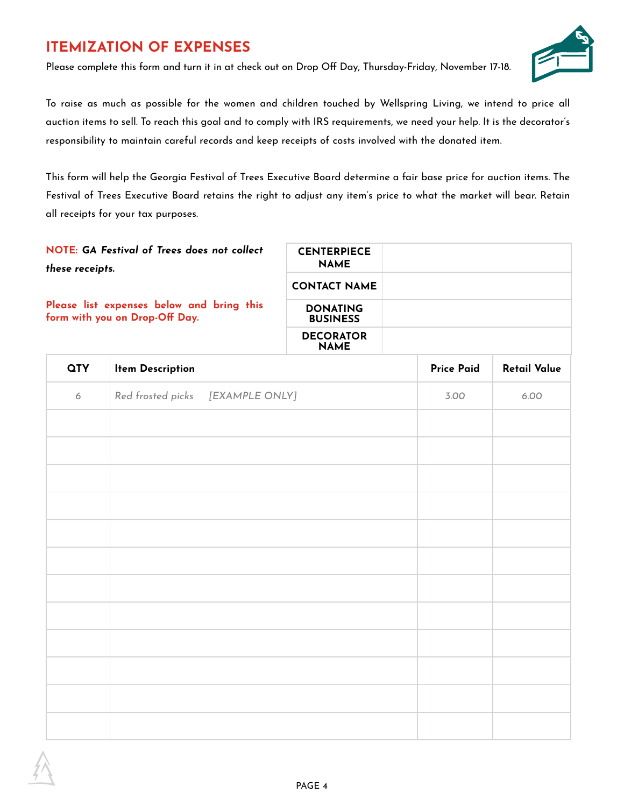# **ITEMIZATION OF EXPENSES**

Please complete this form and turn it in at check out on Drop Off Day, Thursday-Friday, November 17-18.



To raise as much as possible for the women and children touched by Wellspring Living, we intend to price all auction items to sell. To reach this goal and to comply with IRS requirements, we need your help. It is the decorator's responsibility to maintain careful records and keep receipts of costs involved with the donated item.

This form will help the Georgia Festival of Trees Executive Board determine a fair base price for auction items. The Festival of Trees Executive Board retains the right to adjust any item's price to what the market will bear. Retain all receipts for your tax purposes.

| NOTE: GA Festival of Trees does not collect<br>these receipts.              | <b>CENTERPIECE</b><br><b>NAME</b>  |  |
|-----------------------------------------------------------------------------|------------------------------------|--|
|                                                                             | <b>CONTACT NAME</b>                |  |
| Please list expenses below and bring this<br>form with you on Drop-Off Day. | <b>DONATING</b><br><b>BUSINESS</b> |  |
|                                                                             | <b>DECORATOR</b><br><b>NAME</b>    |  |

| <b>QTY</b> | <b>Item Description</b>          | <b>Price Paid</b> | <b>Retail Value</b> |
|------------|----------------------------------|-------------------|---------------------|
| 6          | Red frosted picks [EXAMPLE ONLY] | 3.00              | 6.00                |
|            |                                  |                   |                     |
|            |                                  |                   |                     |
|            |                                  |                   |                     |
|            |                                  |                   |                     |
|            |                                  |                   |                     |
|            |                                  |                   |                     |
|            |                                  |                   |                     |
|            |                                  |                   |                     |
|            |                                  |                   |                     |
|            |                                  |                   |                     |
|            |                                  |                   |                     |
|            |                                  |                   |                     |